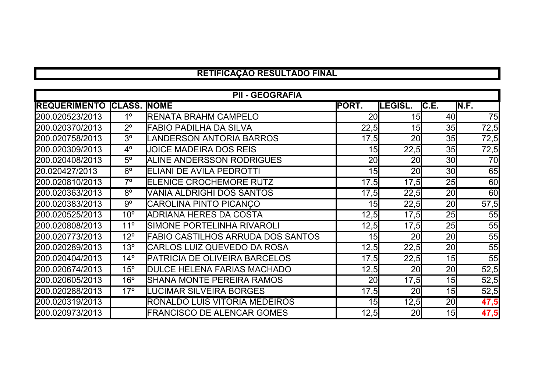## **RETIFICAÇÃO RESULTADO FINAL**

| <b>PII - GEOGRAFIA</b>          |                 |                                          |                 |                |                 |       |
|---------------------------------|-----------------|------------------------------------------|-----------------|----------------|-----------------|-------|
| <b>REQUERIMENTO CLASS. NOME</b> |                 |                                          | <b>PORT.</b>    | <b>LEGISL.</b> | C.E.            | IN.F. |
| 200.020523/2013                 | 1 <sup>o</sup>  | <b>RENATA BRAHM CAMPELO</b>              | 20 <sub>l</sub> | 15             | 40              | 75    |
| 200.020370/2013                 | $2^{\circ}$     | <b>FABIO PADILHA DA SILVA</b>            | 22,5            | 15             | 35              | 72,5  |
| 200.020758/2013                 | 3 <sup>o</sup>  | LANDERSON ANTORIA BARROS                 | 17,5            | 20             | <b>35</b>       | 72,5  |
| 200.020309/2013                 | $4^{\circ}$     | <b>JOICE MADEIRA DOS REIS</b>            | 15              | 22,5           | 35              | 72,5  |
| 200.020408/2013                 | $5^\circ$       | ALINE ANDERSSON RODRIGUES                | 20              | 20             | 30 <sup>l</sup> | 70    |
| 20.020427/2013                  | $6^{\circ}$     | <b>ELIANI DE AVILA PEDROTTI</b>          | 15              | 20             | <b>30</b>       | 65    |
| 200.020810/2013                 | $7^\circ$       | <b>ELENICE CROCHEMORE RUTZ</b>           | 17,5            | 17,5           | 25              | 60    |
| 200.020363/2013                 | $8^{\circ}$     | <b>VANIA ALDRIGHI DOS SANTOS</b>         | 17,5            | 22,5           | 20              | 60    |
| 200.020383/2013                 | $9^{\circ}$     | CAROLINA PINTO PICANCO                   | 15              | 22,5           | 20 <sub>l</sub> | 57,5  |
| 200.020525/2013                 | 10 <sup>o</sup> | <b>ADRIANA HERES DA COSTA</b>            | 12,5            | 17,5           | 25              | 55    |
| 200.020808/2013                 | $11^{\circ}$    | SIMONE PORTELINHA RIVAROLI               | 12,5            | 17,5           | 25              | 55    |
| 200.020773/2013                 | $12^{\circ}$    | <b>FABIO CASTILHOS ARRUDA DOS SANTOS</b> | 15              | 20             | 20              | 55    |
| 200.020289/2013                 | 13 <sup>°</sup> | <b>CARLOS LUIZ QUEVEDO DA ROSA</b>       | 12,5            | 22,5           | 20              | 55    |
| 200.020404/2013                 | $14^{\circ}$    | <b>PATRICIA DE OLIVEIRA BARCELOS</b>     | 17,5            | 22,5           | 15              | 55    |
| 200.020674/2013                 | $15^{\circ}$    | <b>DULCE HELENA FARIAS MACHADO</b>       | 12,5            | 20             | 20 <sub>l</sub> | 52,5  |
| 200.020605/2013                 | 16 <sup>°</sup> | SHANA MONTE PEREIRA RAMOS                | 20              | 17,5           | 15 <sub>l</sub> | 52,5  |
| 200.020288/2013                 | $17^\circ$      | LUCIMAR SILVEIRA BORGES                  | 17,5            | <b>20</b>      | 15 <sub>l</sub> | 52,5  |
| 200.020319/2013                 |                 | RONALDO LUIS VITORIA MEDEIROS            | 15              | 12,5           | 20 <sub>l</sub> | 47,5  |
| 200.020973/2013                 |                 | <b>FRANCISCO DE ALENCAR GOMES</b>        | 12,5            | 20             | 15 <sub>l</sub> | 47,5  |